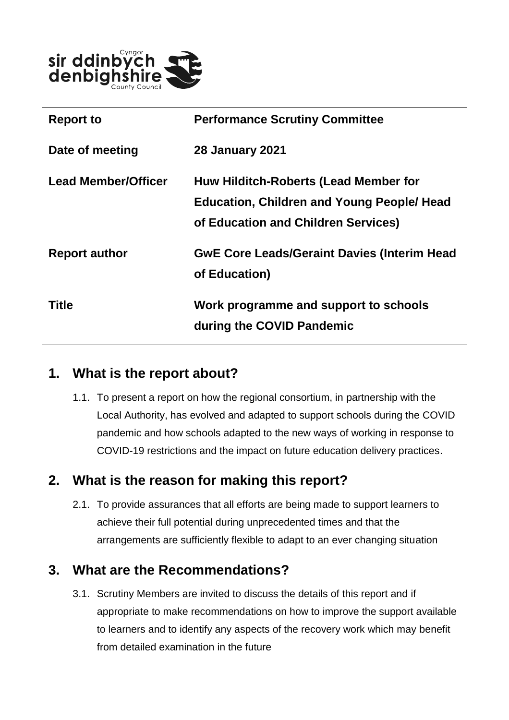

| <b>Report to</b>           | <b>Performance Scrutiny Committee</b>                                                                                             |
|----------------------------|-----------------------------------------------------------------------------------------------------------------------------------|
| Date of meeting            | <b>28 January 2021</b>                                                                                                            |
| <b>Lead Member/Officer</b> | Huw Hilditch-Roberts (Lead Member for<br><b>Education, Children and Young People/ Head</b><br>of Education and Children Services) |
| <b>Report author</b>       | <b>GwE Core Leads/Geraint Davies (Interim Head</b><br>of Education)                                                               |
| <b>Title</b>               | Work programme and support to schools<br>during the COVID Pandemic                                                                |

#### **1. What is the report about?**

1.1. To present a report on how the regional consortium, in partnership with the Local Authority, has evolved and adapted to support schools during the COVID pandemic and how schools adapted to the new ways of working in response to COVID-19 restrictions and the impact on future education delivery practices.

# **2. What is the reason for making this report?**

2.1. To provide assurances that all efforts are being made to support learners to achieve their full potential during unprecedented times and that the arrangements are sufficiently flexible to adapt to an ever changing situation

## **3. What are the Recommendations?**

3.1. Scrutiny Members are invited to discuss the details of this report and if appropriate to make recommendations on how to improve the support available to learners and to identify any aspects of the recovery work which may benefit from detailed examination in the future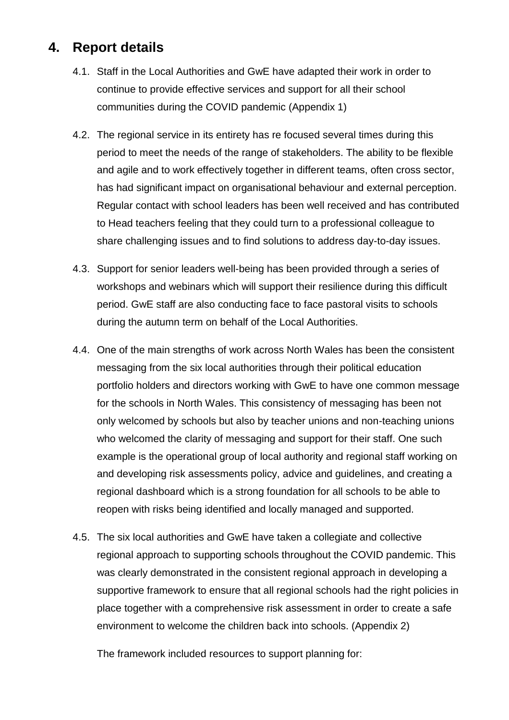## **4. Report details**

- 4.1. Staff in the Local Authorities and GwE have adapted their work in order to continue to provide effective services and support for all their school communities during the COVID pandemic (Appendix 1)
- 4.2. The regional service in its entirety has re focused several times during this period to meet the needs of the range of stakeholders. The ability to be flexible and agile and to work effectively together in different teams, often cross sector, has had significant impact on organisational behaviour and external perception. Regular contact with school leaders has been well received and has contributed to Head teachers feeling that they could turn to a professional colleague to share challenging issues and to find solutions to address day-to-day issues.
- 4.3. Support for senior leaders well-being has been provided through a series of workshops and webinars which will support their resilience during this difficult period. GwE staff are also conducting face to face pastoral visits to schools during the autumn term on behalf of the Local Authorities.
- 4.4. One of the main strengths of work across North Wales has been the consistent messaging from the six local authorities through their political education portfolio holders and directors working with GwE to have one common message for the schools in North Wales. This consistency of messaging has been not only welcomed by schools but also by teacher unions and non-teaching unions who welcomed the clarity of messaging and support for their staff. One such example is the operational group of local authority and regional staff working on and developing risk assessments policy, advice and guidelines, and creating a regional dashboard which is a strong foundation for all schools to be able to reopen with risks being identified and locally managed and supported.
- 4.5. The six local authorities and GwE have taken a collegiate and collective regional approach to supporting schools throughout the COVID pandemic. This was clearly demonstrated in the consistent regional approach in developing a supportive framework to ensure that all regional schools had the right policies in place together with a comprehensive risk assessment in order to create a safe environment to welcome the children back into schools. (Appendix 2)

The framework included resources to support planning for: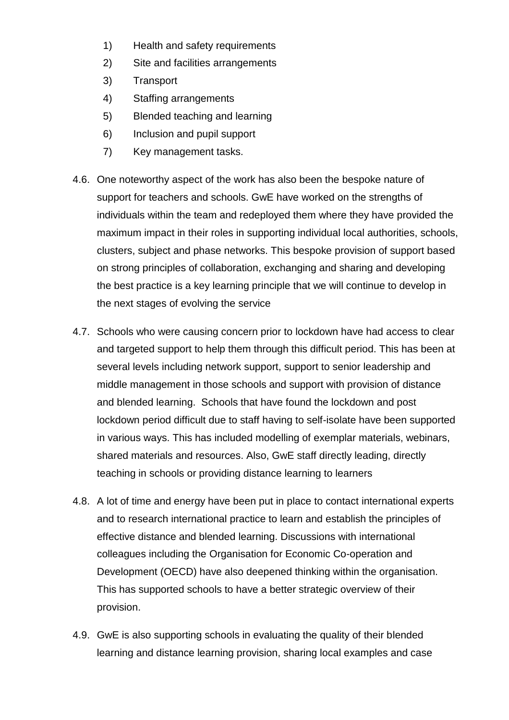- 1) Health and safety requirements
- 2) Site and facilities arrangements
- 3) Transport
- 4) Staffing arrangements
- 5) Blended teaching and learning
- 6) Inclusion and pupil support
- 7) Key management tasks.
- 4.6. One noteworthy aspect of the work has also been the bespoke nature of support for teachers and schools. GwE have worked on the strengths of individuals within the team and redeployed them where they have provided the maximum impact in their roles in supporting individual local authorities, schools, clusters, subject and phase networks. This bespoke provision of support based on strong principles of collaboration, exchanging and sharing and developing the best practice is a key learning principle that we will continue to develop in the next stages of evolving the service
- 4.7. Schools who were causing concern prior to lockdown have had access to clear and targeted support to help them through this difficult period. This has been at several levels including network support, support to senior leadership and middle management in those schools and support with provision of distance and blended learning. Schools that have found the lockdown and post lockdown period difficult due to staff having to self-isolate have been supported in various ways. This has included modelling of exemplar materials, webinars, shared materials and resources. Also, GwE staff directly leading, directly teaching in schools or providing distance learning to learners
- 4.8. A lot of time and energy have been put in place to contact international experts and to research international practice to learn and establish the principles of effective distance and blended learning. Discussions with international colleagues including the Organisation for Economic Co-operation and Development (OECD) have also deepened thinking within the organisation. This has supported schools to have a better strategic overview of their provision.
- 4.9. GwE is also supporting schools in evaluating the quality of their blended learning and distance learning provision, sharing local examples and case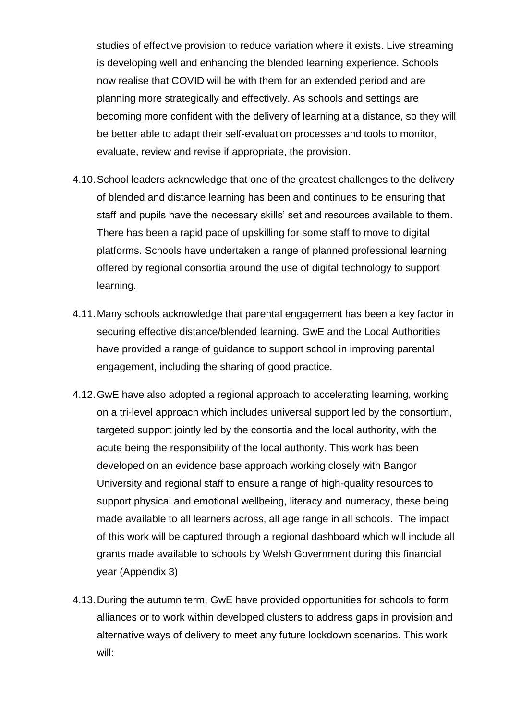studies of effective provision to reduce variation where it exists. Live streaming is developing well and enhancing the blended learning experience. Schools now realise that COVID will be with them for an extended period and are planning more strategically and effectively. As schools and settings are becoming more confident with the delivery of learning at a distance, so they will be better able to adapt their self-evaluation processes and tools to monitor, evaluate, review and revise if appropriate, the provision.

- 4.10.School leaders acknowledge that one of the greatest challenges to the delivery of blended and distance learning has been and continues to be ensuring that staff and pupils have the necessary skills' set and resources available to them. There has been a rapid pace of upskilling for some staff to move to digital platforms. Schools have undertaken a range of planned professional learning offered by regional consortia around the use of digital technology to support learning.
- 4.11.Many schools acknowledge that parental engagement has been a key factor in securing effective distance/blended learning. GwE and the Local Authorities have provided a range of guidance to support school in improving parental engagement, including the sharing of good practice.
- 4.12.GwE have also adopted a regional approach to accelerating learning, working on a tri-level approach which includes universal support led by the consortium, targeted support jointly led by the consortia and the local authority, with the acute being the responsibility of the local authority. This work has been developed on an evidence base approach working closely with Bangor University and regional staff to ensure a range of high-quality resources to support physical and emotional wellbeing, literacy and numeracy, these being made available to all learners across, all age range in all schools. The impact of this work will be captured through a regional dashboard which will include all grants made available to schools by Welsh Government during this financial year (Appendix 3)
- 4.13.During the autumn term, GwE have provided opportunities for schools to form alliances or to work within developed clusters to address gaps in provision and alternative ways of delivery to meet any future lockdown scenarios. This work will: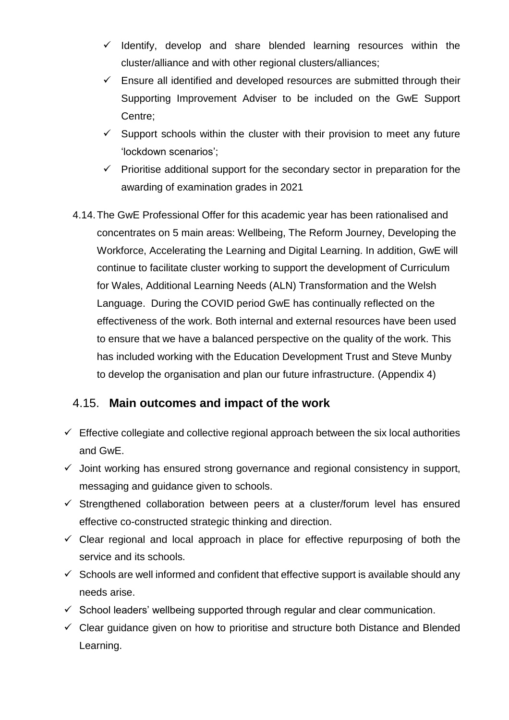- $\checkmark$  Identify, develop and share blended learning resources within the cluster/alliance and with other regional clusters/alliances;
- $\checkmark$  Ensure all identified and developed resources are submitted through their Supporting Improvement Adviser to be included on the GwE Support Centre;
- $\checkmark$  Support schools within the cluster with their provision to meet any future 'lockdown scenarios';
- $\checkmark$  Prioritise additional support for the secondary sector in preparation for the awarding of examination grades in 2021
- 4.14.The GwE Professional Offer for this academic year has been rationalised and concentrates on 5 main areas: Wellbeing, The Reform Journey, Developing the Workforce, Accelerating the Learning and Digital Learning. In addition, GwE will continue to facilitate cluster working to support the development of Curriculum for Wales, Additional Learning Needs (ALN) Transformation and the Welsh Language. During the COVID period GwE has continually reflected on the effectiveness of the work. Both internal and external resources have been used to ensure that we have a balanced perspective on the quality of the work. This has included working with the Education Development Trust and Steve Munby to develop the organisation and plan our future infrastructure. (Appendix 4)

#### 4.15. **Main outcomes and impact of the work**

- $\checkmark$  Effective collegiate and collective regional approach between the six local authorities and GwE.
- $\checkmark$  Joint working has ensured strong governance and regional consistency in support, messaging and guidance given to schools.
- $\checkmark$  Strengthened collaboration between peers at a cluster/forum level has ensured effective co-constructed strategic thinking and direction.
- $\checkmark$  Clear regional and local approach in place for effective repurposing of both the service and its schools.
- $\checkmark$  Schools are well informed and confident that effective support is available should any needs arise.
- $\checkmark$  School leaders' wellbeing supported through regular and clear communication.
- $\checkmark$  Clear guidance given on how to prioritise and structure both Distance and Blended Learning.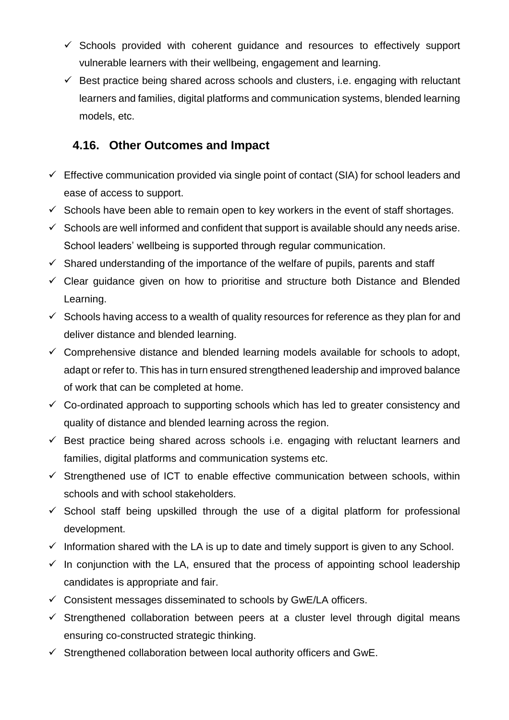- $\checkmark$  Schools provided with coherent guidance and resources to effectively support vulnerable learners with their wellbeing, engagement and learning.
- $\checkmark$  Best practice being shared across schools and clusters, i.e. engaging with reluctant learners and families, digital platforms and communication systems, blended learning models, etc.

#### **4.16. Other Outcomes and Impact**

- $\checkmark$  Effective communication provided via single point of contact (SIA) for school leaders and ease of access to support.
- $\checkmark$  Schools have been able to remain open to key workers in the event of staff shortages.
- $\checkmark$  Schools are well informed and confident that support is available should any needs arise. School leaders' wellbeing is supported through regular communication.
- $\checkmark$  Shared understanding of the importance of the welfare of pupils, parents and staff
- $\checkmark$  Clear guidance given on how to prioritise and structure both Distance and Blended Learning.
- $\checkmark$  Schools having access to a wealth of quality resources for reference as they plan for and deliver distance and blended learning.
- $\checkmark$  Comprehensive distance and blended learning models available for schools to adopt, adapt or refer to. This has in turn ensured strengthened leadership and improved balance of work that can be completed at home.
- $\checkmark$  Co-ordinated approach to supporting schools which has led to greater consistency and quality of distance and blended learning across the region.
- $\checkmark$  Best practice being shared across schools i.e. engaging with reluctant learners and families, digital platforms and communication systems etc.
- $\checkmark$  Strengthened use of ICT to enable effective communication between schools, within schools and with school stakeholders.
- $\checkmark$  School staff being upskilled through the use of a digital platform for professional development.
- $\checkmark$  Information shared with the LA is up to date and timely support is given to any School.
- $\checkmark$  In conjunction with the LA, ensured that the process of appointing school leadership candidates is appropriate and fair.
- $\checkmark$  Consistent messages disseminated to schools by GwE/LA officers.
- $\checkmark$  Strengthened collaboration between peers at a cluster level through digital means ensuring co-constructed strategic thinking.
- $\checkmark$  Strengthened collaboration between local authority officers and GwE.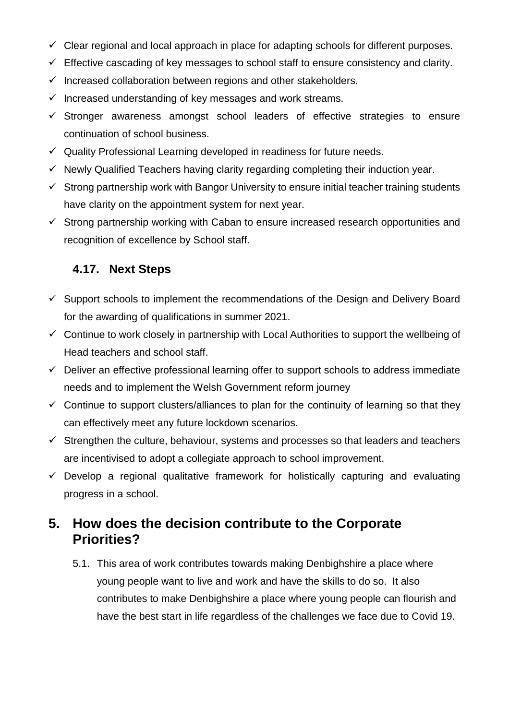- $\checkmark$  Clear regional and local approach in place for adapting schools for different purposes.
- $\checkmark$  Effective cascading of key messages to school staff to ensure consistency and clarity.
- $\checkmark$  Increased collaboration between regions and other stakeholders.
- $\checkmark$  Increased understanding of key messages and work streams.
- $\checkmark$  Stronger awareness amongst school leaders of effective strategies to ensure continuation of school business.
- $\checkmark$  Quality Professional Learning developed in readiness for future needs.
- $\checkmark$  Newly Qualified Teachers having clarity regarding completing their induction year.
- $\checkmark$  Strong partnership work with Bangor University to ensure initial teacher training students have clarity on the appointment system for next year.
- $\checkmark$  Strong partnership working with Caban to ensure increased research opportunities and recognition of excellence by School staff.

#### **4.17. Next Steps**

- $\checkmark$  Support schools to implement the recommendations of the Design and Delivery Board for the awarding of qualifications in summer 2021.
- $\checkmark$  Continue to work closely in partnership with Local Authorities to support the wellbeing of Head teachers and school staff.
- $\checkmark$  Deliver an effective professional learning offer to support schools to address immediate needs and to implement the Welsh Government reform journey
- $\checkmark$  Continue to support clusters/alliances to plan for the continuity of learning so that they can effectively meet any future lockdown scenarios.
- $\checkmark$  Strengthen the culture, behaviour, systems and processes so that leaders and teachers are incentivised to adopt a collegiate approach to school improvement.
- $\checkmark$  Develop a regional qualitative framework for holistically capturing and evaluating progress in a school.

### **5. How does the decision contribute to the Corporate Priorities?**

5.1. This area of work contributes towards making Denbighshire a place where young people want to live and work and have the skills to do so. It also contributes to make Denbighshire a place where young people can flourish and have the best start in life regardless of the challenges we face due to Covid 19.